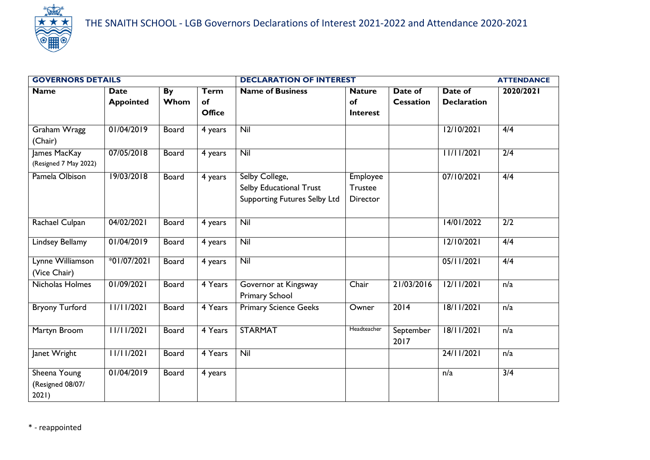

| <b>GOVERNORS DETAILS</b>                  |                                 |                   |                                    | <b>DECLARATION OF INTEREST</b>                                                   |                                                      |                             |                               | <b>ATTENDANCE</b> |
|-------------------------------------------|---------------------------------|-------------------|------------------------------------|----------------------------------------------------------------------------------|------------------------------------------------------|-----------------------------|-------------------------------|-------------------|
| <b>Name</b>                               | <b>Date</b><br><b>Appointed</b> | <b>By</b><br>Whom | <b>Term</b><br>of<br><b>Office</b> | <b>Name of Business</b>                                                          | <b>Nature</b><br>of<br>Interest                      | Date of<br><b>Cessation</b> | Date of<br><b>Declaration</b> | 2020/2021         |
| Graham Wragg<br>(Chair)                   | 01/04/2019                      | <b>Board</b>      | 4 years                            | Nil                                                                              |                                                      |                             | 12/10/2021                    | 4/4               |
| James MacKay<br>(Resigned 7 May 2022)     | 07/05/2018                      | <b>Board</b>      | 4 years                            | Nil                                                                              |                                                      |                             | 11/11/2021                    | 2/4               |
| Pamela Olbison                            | 19/03/2018                      | Board             | 4 years                            | Selby College,<br>Selby Educational Trust<br><b>Supporting Futures Selby Ltd</b> | <b>Employee</b><br><b>Trustee</b><br><b>Director</b> |                             | 07/10/2021                    | 4/4               |
| Rachael Culpan                            | 04/02/2021                      | Board             | 4 years                            | Nil                                                                              |                                                      |                             | 14/01/2022                    | $\overline{2/2}$  |
| Lindsey Bellamy                           | 01/04/2019                      | Board             | 4 years                            | Nil                                                                              |                                                      |                             | 12/10/2021                    | 4/4               |
| Lynne Williamson<br>(Vice Chair)          | *01/07/2021                     | Board             | 4 years                            | Nil                                                                              |                                                      |                             | 05/11/2021                    | 4/4               |
| Nicholas Holmes                           | 01/09/2021                      | Board             | 4 Years                            | Governor at Kingsway<br>Primary School                                           | Chair                                                | 21/03/2016                  | 12/11/2021                    | n/a               |
| <b>Bryony Turford</b>                     | 11/11/2021                      | Board             | 4 Years                            | <b>Primary Science Geeks</b>                                                     | Owner                                                | 2014                        | 18/11/2021                    | n/a               |
| Martyn Broom                              | 11/11/2021                      | Board             | 4 Years                            | <b>STARMAT</b>                                                                   | Headteacher                                          | September<br>2017           | 18/11/2021                    | n/a               |
| Janet Wright                              | 11/11/2021                      | Board             | 4 Years                            | Nil                                                                              |                                                      |                             | 24/11/2021                    | n/a               |
| Sheena Young<br>(Resigned 08/07/<br>2021) | 01/04/2019                      | Board             | 4 years                            |                                                                                  |                                                      |                             | n/a                           | $\overline{3/4}$  |

\* - reappointed